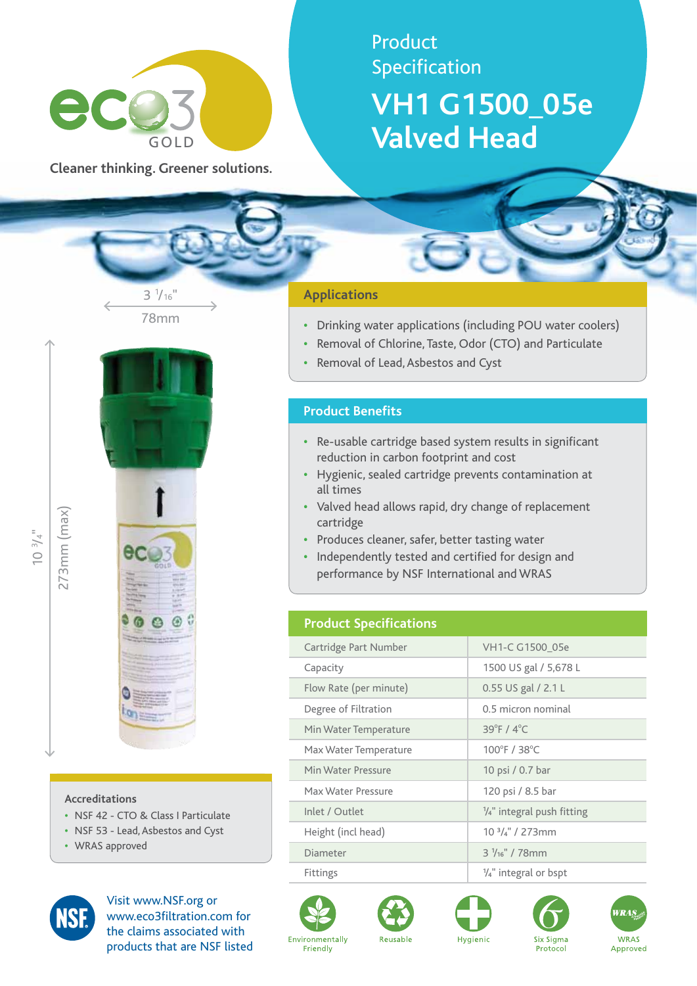

**Cleaner thinking. Greener solutions.**

78mm

 $3\frac{1}{16}$ "

# Product Specification **VH1 G1500\_05e Valved Head**

#### **Applications**

- **•**  Drinking water applications (including POU water coolers)
- Removal of Chlorine, Taste, Odor (CTO) and Particulate
- **Removal of Lead, Asbestos and Cyst**

#### **Product Benefits**

- **•**  Re-usable cartridge based system results in significant reduction in carbon footprint and cost
- **•**  Hygienic, sealed cartridge prevents contamination at all times
- **•**  Valved head allows rapid, dry change of replacement cartridge
- **•**  Produces cleaner, safer, better tasting water
- **•**  Independently tested and certified for design and performance by NSF International and WRAS

### **Product Specifications**

| VH1-C G1500 05e                       |
|---------------------------------------|
| 1500 US gal / 5,678 L                 |
| 0.55 US gal / 2.1 L                   |
| 0.5 micron nominal                    |
| $39^{\circ}$ F / $4^{\circ}$ C        |
| 100°F / 38°C                          |
| 10 psi / 0.7 bar                      |
| 120 psi / 8.5 bar                     |
| $\frac{1}{4}$ " integral push fitting |
| $103/4$ " / 273mm                     |
| $3\frac{1}{16}$ " / 78mm              |
| $\frac{1}{4}$ " integral or bspt      |
|                                       |











 $\sum_{i=1}^{\infty}$  $\bar{\zeta}^+$  273mm (max)

273mm (max)



#### **Accreditations**

- **•**  NSF 42 CTO & Class I Particulate
- **•**  NSF 53 Lead, Asbestos and Cyst
- **•**  WRAS approved



Visit www.NSF.org or www.eco3filtration.com for the claims associated with products that are NSF listed